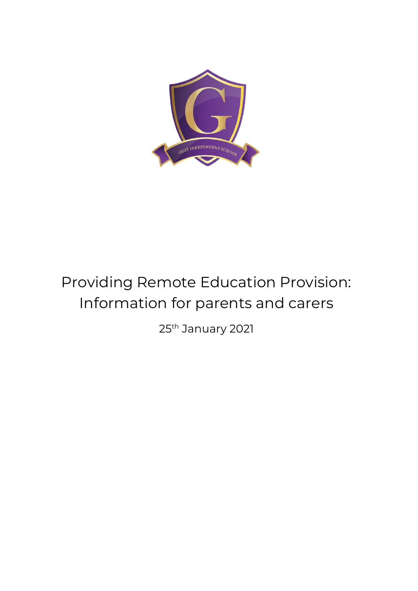

# Providing Remote Education Provision: Information for parents and carers

25th January 2021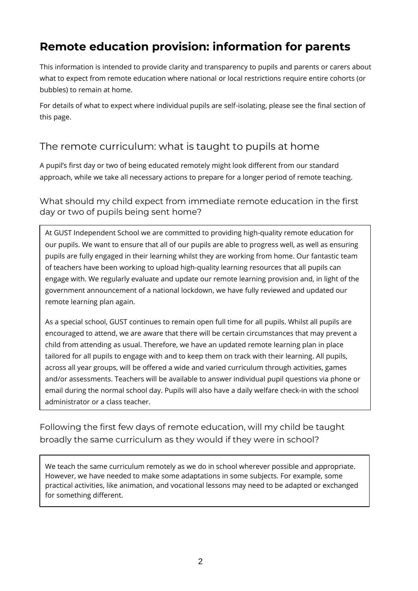#### **Remote education provision: information for parents**

This information is intended to provide clarity and transparency to pupils and parents or carers about what to expect from remote education where national or local restrictions require entire cohorts (or bubbles) to remain at home.

For details of what to expect where individual pupils are self-isolating, please see the final section of this page.

#### The remote curriculum: what is taught to pupils at home

A pupil's first day or two of being educated remotely might look different from our standard approach, while we take all necessary actions to prepare for a longer period of remote teaching.

What should my child expect from immediate remote education in the first day or two of pupils being sent home?

At GUST Independent School we are committed to providing high-quality remote education for our pupils. We want to ensure that all of our pupils are able to progress well, as well as ensuring pupils are fully engaged in their learning whilst they are working from home. Our fantastic team of teachers have been working to upload high-quality learning resources that all pupils can engage with. We regularly evaluate and update our remote learning provision and, in light of the government announcement of a national lockdown, we have fully reviewed and updated our remote learning plan again.

As a special school, GUST continues to remain open full time for all pupils. Whilst all pupils are encouraged to attend, we are aware that there will be certain circumstances that may prevent a child from attending as usual. Therefore, we have an updated remote learning plan in place tailored for all pupils to engage with and to keep them on track with their learning. All pupils, across all year groups, will be offered a wide and varied curriculum through activities, games and/or assessments. Teachers will be available to answer individual pupil questions via phone or email during the normal school day. Pupils will also have a daily welfare check-in with the school administrator or a class teacher.

Following the first few days of remote education, will my child be taught broadly the same curriculum as they would if they were in school?

We teach the same curriculum remotely as we do in school wherever possible and appropriate. However, we have needed to make some adaptations in some subjects. For example, some practical activities, like animation, and vocational lessons may need to be adapted or exchanged for something different.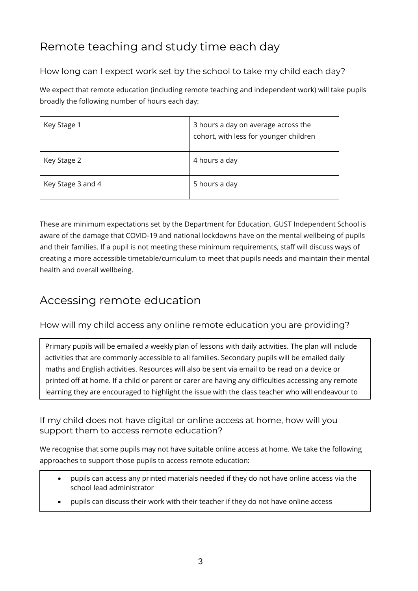## Remote teaching and study time each day

How long can I expect work set by the school to take my child each day?

We expect that remote education (including remote teaching and independent work) will take pupils broadly the following number of hours each day:

| Key Stage 1       | 3 hours a day on average across the<br>cohort, with less for younger children |
|-------------------|-------------------------------------------------------------------------------|
| Key Stage 2       | 4 hours a day                                                                 |
| Key Stage 3 and 4 | 5 hours a day                                                                 |

These are minimum expectations set by the Department for Education. GUST Independent School is aware of the damage that COVID-19 and national lockdowns have on the mental wellbeing of pupils and their families. If a pupil is not meeting these minimum requirements, staff will discuss ways of creating a more accessible timetable/curriculum to meet that pupils needs and maintain their mental health and overall wellbeing.

#### Accessing remote education

How will my child access any online remote education you are providing?

Primary pupils will be emailed a weekly plan of lessons with daily activities. The plan will include activities that are commonly accessible to all families. Secondary pupils will be emailed daily maths and English activities. Resources will also be sent via email to be read on a device or printed off at home. If a child or parent or carer are having any difficulties accessing any remote learning they are encouraged to highlight the issue with the class teacher who will endeavour to

If my child does not have digital or online access at home, how will you support them to access remote education?

We recognise that some pupils may not have suitable online access at home. We take the following approaches to support those pupils to access remote education:

- pupils can access any printed materials needed if they do not have online access via the school lead administrator
- pupils can discuss their work with their teacher if they do not have online access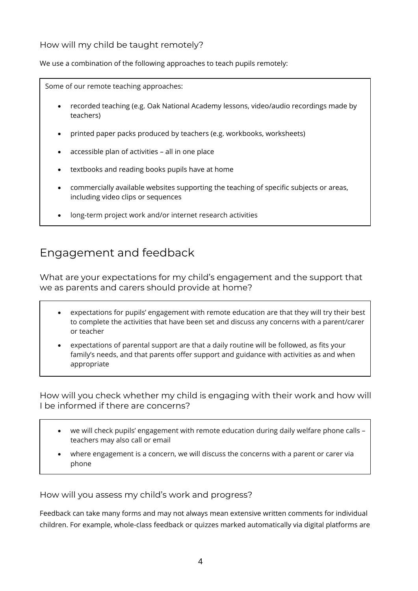#### How will my child be taught remotely?

We use a combination of the following approaches to teach pupils remotely:

Some of our remote teaching approaches: • recorded teaching (e.g. Oak National Academy lessons, video/audio recordings made by teachers) • printed paper packs produced by teachers (e.g. workbooks, worksheets)

- accessible plan of activities all in one place
- textbooks and reading books pupils have at home
- commercially available websites supporting the teaching of specific subjects or areas, including video clips or sequences
- long-term project work and/or internet research activities

#### Engagement and feedback

What are your expectations for my child's engagement and the support that we as parents and carers should provide at home?

- expectations for pupils' engagement with remote education are that they will try their best to complete the activities that have been set and discuss any concerns with a parent/carer or teacher
- expectations of parental support are that a daily routine will be followed, as fits your family's needs, and that parents offer support and guidance with activities as and when appropriate

How will you check whether my child is engaging with their work and how will I be informed if there are concerns?

- we will check pupils' engagement with remote education during daily welfare phone calls teachers may also call or email
- where engagement is a concern, we will discuss the concerns with a parent or carer via phone

How will you assess my child's work and progress?

Feedback can take many forms and may not always mean extensive written comments for individual children. For example, whole-class feedback or quizzes marked automatically via digital platforms are